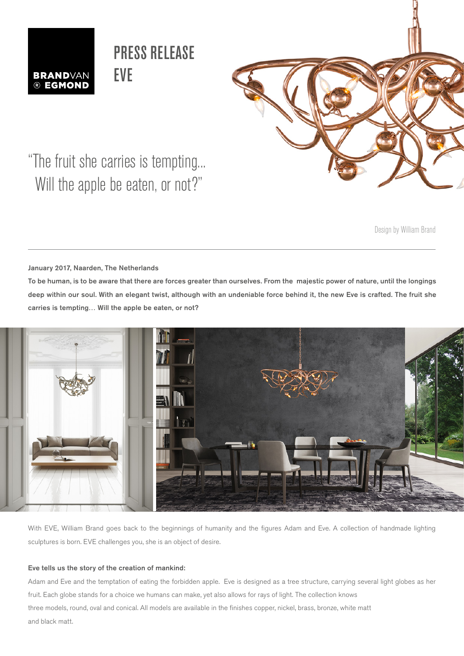

## PRESS RELEASE EVE



"The fruit she carries is tempting... Will the apple be eaten, or not?"

Design by William Brand

January 2017, Naarden, The Netherlands

To be human, is to be aware that there are forces greater than ourselves. From the majestic power of nature, until the longings deep within our soul. With an elegant twist, although with an undeniable force behind it, the new Eve is crafted. The fruit she carries is tempting… Will the apple be eaten, or not?



With EVE, William Brand goes back to the beginnings of humanity and the figures Adam and Eve. A collection of handmade lighting sculptures is born. EVE challenges you, she is an object of desire.

### Eve tells us the story of the creation of mankind:

Adam and Eve and the temptation of eating the forbidden apple. Eve is designed as a tree structure, carrying several light globes as her fruit. Each globe stands for a choice we humans can make, yet also allows for rays of light. The collection knows three models, round, oval and conical. All models are available in the finishes copper, nickel, brass, bronze, white matt and black matt.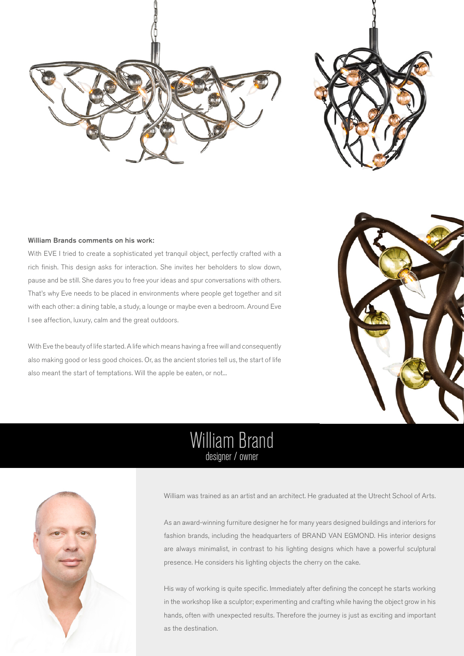



### William Brands comments on his work:

With EVE I tried to create a sophisticated yet tranquil object, perfectly crafted with a rich finish. This design asks for interaction. She invites her beholders to slow down, pause and be still. She dares you to free your ideas and spur conversations with others. That's why Eve needs to be placed in environments where people get together and sit with each other: a dining table, a study, a lounge or maybe even a bedroom. Around Eve I see affection, luxury, calm and the great outdoors.

With Eve the beauty of life started. A life which means having a free will and consequently also making good or less good choices. Or, as the ancient stories tell us, the start of life also meant the start of temptations. Will the apple be eaten, or not...



## William Brand designer / owner



William was trained as an artist and an architect. He graduated at the Utrecht School of Arts.

As an award-winning furniture designer he for many years designed buildings and interiors for fashion brands, including the headquarters of BRAND VAN EGMOND. His interior designs are always minimalist, in contrast to his lighting designs which have a powerful sculptural presence. He considers his lighting objects the cherry on the cake.

His way of working is quite specific. Immediately after defining the concept he starts working in the workshop like a sculptor; experimenting and crafting while having the object grow in his hands, often with unexpected results. Therefore the journey is just as exciting and important as the destination.